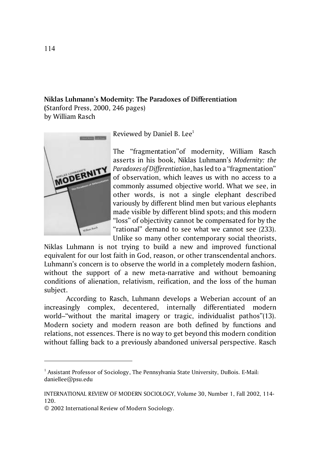## **Niklas Luhmann's Modernity: The Paradoxes of Differentiation (**Stanford Press, 2000, 246 pages)

by William Rasch



Reviewed by Daniel B. Lee<sup>1</sup>

The "fragmentation"of modernity, William Rasch asserts in his book, Niklas Luhmann's *Modernity: the Paradoxes of Differentiation*, has led to a "fragmentation" of observation, which leaves us with no access to a commonly assumed objective world. What we see, in other words, is not a single elephant described variously by different blind men but various elephants made visible by different blind spots; and this modern "loss" of objectivity cannot be compensated for by the "rational" demand to see what we cannot see (233). Unlike so many other contemporary social theorists,

Niklas Luhmann is not trying to build a new and improved functional equivalent for our lost faith in God, reason, or other transcendental anchors. Luhmann's concern is to observe the world in a completely modern fashion, without the support of a new meta-narrative and without bemoaning conditions of alienation, relativism, reification, and the loss of the human subject.

According to Rasch, Luhmann develops a Weberian account of an increasingly complex, decentered, internally differentiated modern world–"without the marital imagery or tragic, individualist pathos"(13). Modern society and modern reason are both defined by functions and relations, not essences. There is no way to get beyond this modern condition without falling back to a previously abandoned universal perspective. Rasch

<sup>&</sup>lt;sup>1</sup> Assistant Professor of Sociology, The Pennsylvania State University, DuBois. E-Mail: daniellee@psu.edu

INTERNATIONAL REVIEW OF MODERN SOCIOLOGY, Volume 30, Number 1, Fall 2002, 114- 120.

<sup>© 2002</sup> International Review of Modern Sociology.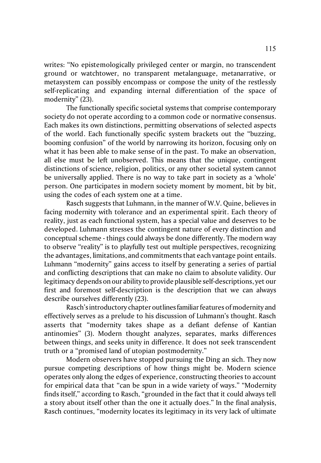writes: "No epistemologically privileged center or margin, no transcendent ground or watchtower, no transparent metalanguage, metanarrative, or metasystem can possibly encompass or compose the unity of the restlessly self-replicating and expanding internal differentiation of the space of modernity" (23).

The functionally specific societal systems that comprise contemporary society do not operate according to a common code or normative consensus. Each makes its own distinctions, permitting observations of selected aspects of the world. Each functionally specific system brackets out the "buzzing, booming confusion" of the world by narrowing its horizon, focusing only on what it has been able to make sense of in the past. To make an observation, all else must be left unobserved. This means that the unique, contingent distinctions of science, religion, politics, or any other societal system cannot be universally applied. There is no way to take part in society as a 'whole' person. One participates in modern society moment by moment, bit by bit, using the codes of each system one at a time.

Rasch suggests that Luhmann, in the manner of W.V. Quine, believes in facing modernity with tolerance and an experimental spirit. Each theory of reality, just as each functional system, has a special value and deserves to be developed. Luhmann stresses the contingent nature of every distinction and conceptual scheme - things could always be done differently. The modern way to observe "reality" is to playfully test out multiple perspectives, recognizing the advantages, limitations, and commitments that each vantage point entails. Luhmann "modernity" gains access to itself by generating a series of partial and conflicting descriptions that can make no claim to absolute validity. Our legitimacy depends on our ability to provide plausible self-descriptions, yet our first and foremost self-description is the description that we can always describe ourselves differently (23).

Rasch's introductory chapter outlinesfamiliar features of modernity and effectively serves as a prelude to his discussion of Luhmann's thought. Rasch asserts that "modernity takes shape as a defiant defense of Kantian antinomies" (3). Modern thought analyzes, separates, marks differences between things, and seeks unity in difference. It does not seek transcendent truth or a "promised land of utopian postmodernity."

Modern observers have stopped pursuing the Ding an sich. They now pursue competing descriptions of how things might be. Modern science operates only along the edges of experience, constructing theories to account for empirical data that "can be spun in a wide variety of ways." "Modernity finds itself," according to Rasch, "grounded in the fact that it could always tell a story about itself other than the one it actually does." In the final analysis, Rasch continues, "modernity locates its legitimacy in its very lack of ultimate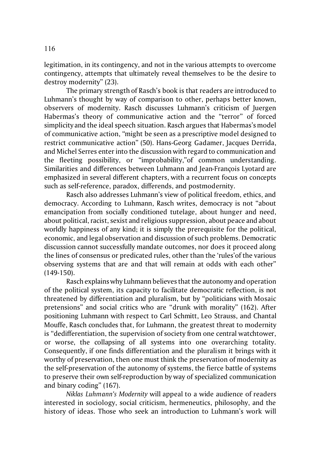legitimation, in its contingency, and not in the various attempts to overcome contingency, attempts that ultimately reveal themselves to be the desire to destroy modernity" (23).

The primary strength of Rasch's book is that readers are introduced to Luhmann's thought by way of comparison to other, perhaps better known, observers of modernity. Rasch discusses Luhmann's criticism of Juergen Habermas's theory of communicative action and the "terror" of forced simplicity and the ideal speech situation. Rasch argues that Habermas's model of communicative action, "might be seen as a prescriptive model designed to restrict communicative action" (50). Hans-Georg Gadamer, Jacques Derrida, and Michel Serres enter into the discussion with regard to communication and the fleeting possibility, or "improbability,"of common understanding. Similarities and differences between Luhmann and Jean-François Lyotard are emphasized in several different chapters, with a recurrent focus on concepts such as self-reference, paradox, differends, and postmodernity.

Rasch also addresses Luhmann's view of political freedom, ethics, and democracy. According to Luhmann, Rasch writes, democracy is not "about emancipation from socially conditioned tutelage, about hunger and need, about political, racist, sexist and religious suppression, about peace and about worldly happiness of any kind; it is simply the prerequisite for the political, economic, and legal observation and discussion of such problems. Democratic discussion cannot successfully mandate outcomes, nor does it proceed along the lines of consensus or predicated rules, other than the 'rules'of the various observing systems that are and that will remain at odds with each other" (149-150).

Rasch explains why Luhmann believes that the autonomy and operation of the political system, its capacity to facilitate democratic reflection, is not threatened by differentiation and pluralism, but by "politicians with Mosaic pretensions" and social critics who are "drunk with morality" (162). After positioning Luhmann with respect to Carl Schmitt, Leo Strauss, and Chantal Mouffe, Rasch concludes that, for Luhmann, the greatest threat to modernity is "dedifferentiation, the supervision of society from one central watchtower, or worse, the collapsing of all systems into one overarching totality. Consequently, if one finds differentiation and the pluralism it brings with it worthy of preservation, then one must think the preservation of modernity as the self-preservation of the autonomy of systems, the fierce battle of systems to preserve their own self-reproduction by way of specialized communication and binary coding" (167).

*Niklas Luhmann's Modernity* will appeal to a wide audience of readers interested in sociology, social criticism, hermeneutics, philosophy, and the history of ideas. Those who seek an introduction to Luhmann's work will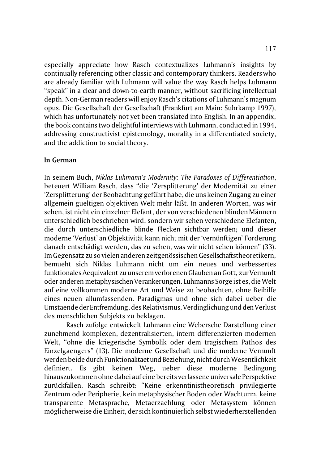especially appreciate how Rasch contextualizes Luhmann's insights by continually referencing other classic and contemporary thinkers. Readers who are already familiar with Luhmann will value the way Rasch helps Luhmann "speak" in a clear and down-to-earth manner, without sacrificing intellectual depth. Non-German readers will enjoy Rasch's citations of Luhmann's magnum opus, Die Gesellschaft der Gesellschaft (Frankfurt am Main: Suhrkamp 1997), which has unfortunately not yet been translated into English. In an appendix, the book contains two delightful interviews with Luhmann, conducted in 1994, addressing constructivist epistemology, morality in a differentiated society, and the addiction to social theory.

## **In German**

In seinem Buch, *Niklas Luhmann's Modernity: The Paradoxes of Differentiation*, beteuert William Rasch, dass "die 'Zersplitterung' der Modernität zu einer 'Zersplitterung' der Beobachtung geführt habe, die uns keinen Zugang zu einer allgemein gueltigen objektiven Welt mehr läßt. In anderen Worten, was wir sehen, ist nicht ein einzelner Elefant, der von verschiedenen blinden Männern unterschiedlich beschrieben wird, sondern wir sehen verschiedene Elefanten, die durch unterschiedliche blinde Flecken sichtbar werden; und dieser moderne 'Verlust' an Objektivität kann nicht mit der 'vernünftigen' Forderung danach entschädigt werden, das zu sehen, was wir nicht sehen können" (33). Im Gegensatz zu so vielen anderen zeitgenössischen Gesellschaftstheoretikern, bemueht sich Niklas Luhmann nicht um ein neues und verbessertes funktionales Aequivalent zu unserem verlorenen Glauben an Gott, zur Vernunft oder anderen metaphysischen Verankerungen. Luhmanns Sorge ist es, die Welt auf eine vollkommen moderne Art und Weise zu beobachten, ohne Beihilfe eines neuen allumfassenden. Paradigmas und ohne sich dabei ueber die Umstaendeder Entfremdung, des Relativismus, Verdinglichung und den Verlust des menschlichen Subjekts zu beklagen.

Rasch zufolge entwickelt Luhmann eine Webersche Darstellung einer zunehmend komplexen, dezentralisierten, intern differenzierten modernen Welt, "ohne die kriegerische Symbolik oder dem tragischem Pathos des Einzelgaengers" (13). Die moderne Gesellschaft und die moderne Vernunft werden beide durch Funktionalitaet und Beziehung, nicht durch Wesentlichkeit definiert. Es gibt keinen Weg, ueber diese moderne Bedingung hinauszukommen ohne dabei auf eine bereits verlassene universale Perspektive zurückfallen. Rasch schreibt: "Keine erkenntinistheoretisch privilegierte Zentrum oder Peripherie, kein metaphysischer Boden oder Wachturm, keine transparente Metasprache, Metaerzaehlung oder Metasystem können möglicherweise die Einheit, der sich kontinuierlich selbst wiederherstellenden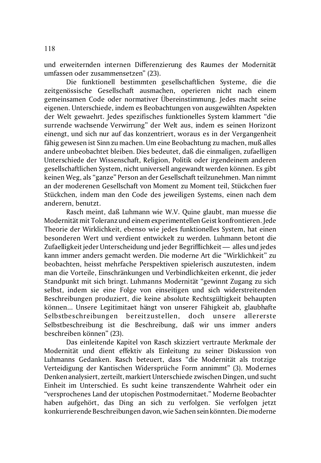und erweiternden internen Differenzierung des Raumes der Modernität umfassen oder zusammensetzen" (23).

Die funktionell bestimmten gesellschaftlichen Systeme, die die zeitgenössische Gesellschaft ausmachen, operieren nicht nach einem gemeinsamen Code oder normativer Übereinstimmung. Jedes macht seine eigenen. Unterschiede, indem es Beobachtungen von ausgewählten Aspekten der Welt gewaehrt. Jedes spezifisches funktionelles System klammert "die surrende wachsende Verwirrung" der Welt aus, indem es seinen Horizont einengt, und sich nur auf das konzentriert, woraus es in der Vergangenheit fähig gewesen ist Sinn zu machen. Um eine Beobachtung zu machen, muß alles andere unbeobachtet bleiben. Dies bedeutet, daß die einmaligen, zufaelligen Unterschiede der Wissenschaft, Religion, Politik oder irgendeinem anderen gesellschaftlichen System, nicht universell angewandt werden können. Es gibt keinen Weg, als "ganze" Person an der Gesellschaft teilzunehmen. Man nimmt an der moderenen Gesellschaft von Moment zu Moment teil, Stückchen fuer Stückchen, indem man den Code des jeweiligen Systems, einen nach dem anderern, benutzt.

Rasch meint, daß Luhmann wie W.V. Quine glaubt, man muesse die Modernität mit Toleranz und einem experimentellen Geist konfrontieren. Jede Theorie der Wirklichkeit, ebenso wie jedes funktionelles System, hat einen besonderen Wert und verdient entwickelt zu werden. Luhmann betont die Zufaelligkeit jeder Unterscheidung und jeder Begrifflichkeit — alles und jedes kann immer anders gemacht werden. Die moderne Art die "Wirklichkeit" zu beobachten, heisst mehrfache Perspektiven spielerisch auszutesten, indem man die Vorteile, Einschränkungen und Verbindlichkeiten erkennt, die jeder Standpunkt mit sich bringt. Luhmanns Modernität "gewinnt Zugang zu sich selbst, indem sie eine Folge von einseitigen und sich widerstreitenden Beschreibungen produziert, die keine absolute Rechtsgültigkeit behaupten können... Unsere Legitimitaet hängt von unserer Fähigkeit ab, glaubhafte Selbstbeschreibungen bereitzustellen, doch unsere allererste Selbstbeschreibung ist die Beschreibung, daß wir uns immer anders beschreiben können" (23).

Das einleitende Kapitel von Rasch skizziert vertraute Merkmale der Modernität und dient effektiv als Einleitung zu seiner Diskussion von Luhmanns Gedanken. Rasch beteuert, dass "die Modernität als trotzige Verteidigung der Kantischen Widersprüche Form annimmt" (3). Modernes Denken analysiert, zerteilt, markiert Unterschiede zwischen Dingen, und sucht Einheit im Unterschied. Es sucht keine transzendente Wahrheit oder ein "versprochenes Land der utopischen Postmodernitaet." Moderne Beobachter haben aufgehört, das Ding an sich zu verfolgen. Sie verfolgen jetzt konkurrierende Beschreibungen davon, wie Sachen seinkönnten. Die moderne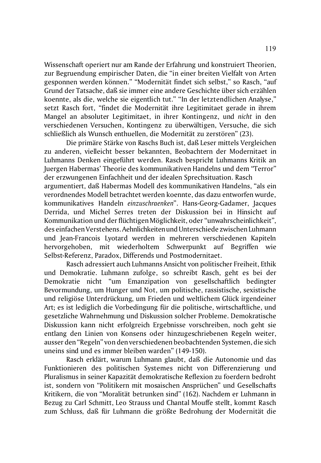Wissenschaft operiert nur am Rande der Erfahrung und konstruiert Theorien, zur Begruendung empirischer Daten, die "in einer breiten Vielfalt von Arten gesponnen werden können." "Modernität findet sich selbst," so Rasch, "auf Grund der Tatsache, daß sie immer eine andere Geschichte über sich erzählen koennte, als die, welche sie eigentlich tut." "In der letztendlichen Analyse," setzt Rasch fort, "findet die Modernität ihre Legitimitaet gerade in ihrem Mangel an absoluter Legitimitaet, in ihrer Kontingenz, und *nicht* in den verschiedenen Versuchen, Kontingenz zu überwältigen, Versuche, die sich schließlich als Wunsch enthuellen, die Modernität zu zerstören" (23).

Die primäre Stärke von Raschs Buch ist, daß Leser mittels Vergleichen zu anderen, vielleicht besser bekannten, Beobachtern der Modernitaet in Luhmanns Denken eingeführt werden. Rasch bespricht Luhmanns Kritik an Juergen Habermas' Theorie des kommunikativen Handelns und dem "Terror" der erzwungenen Einfachheit und der idealen Sprechsituation. Rasch argumentiert, daß Habermas Modell des kommunikativen Handelns, "als ein verordnendes Modell betrachtet werden koennte, das dazu entworfen wurde, kommunikatives Handeln *einzuschraenken*". Hans-Georg-Gadamer, Jacques Derrida, und Michel Serres treten der Diskussion bei in Hinsicht auf Kommunikation und der flüchtigen Möglichkeit, oder "unwahrscheinlichkeit", des einfachen Verstehens. Aehnlichkeiten und Unterschiede zwischen Luhmann und Jean-Francois Lyotard werden in mehreren verschiedenen Kapiteln hervorgehoben, mit wiederholtem Schwerpunkt auf Begriffen wie Selbst-Referenz, Paradox, Differends und Postmodernitaet.

Rasch adressiert auch Luhmanns Ansicht von politischer Freiheit, Ethik und Demokratie. Luhmann zufolge, so schreibt Rasch, geht es bei der Demokratie nicht "um Emanzipation von gesellschaftlich bedingter Bevormundung, um Hunger und Not, um politische, rassistische, sexistische und religiöse Unterdrückung, um Frieden und weltlichem Glück irgendeiner Art; es ist lediglich die Vorbedingung für die politische, wirtschaftliche, und gesetzliche Wahrnehmung und Diskussion solcher Probleme. Demokratische Diskussion kann nicht erfolgreich Ergebnisse vorschreiben, noch geht sie entlang den Linien von Konsens oder hinzugeschriebenen Regeln weiter, ausser den "Regeln" von den verschiedenen beobachtenden Systemen, die sich uneins sind und es immer bleiben warden" (149-150).

Rasch erklärt, warum Luhmann glaubt, daß die Autonomie und das Funktionieren des politischen Systemes nicht von Differenzierung und Pluralismus in seiner Kapazität demokratische Reflexion zu foerdern bedroht ist, sondern von "Politikern mit mosaischen Ansprüchen" und Gesellschafts Kritikern, die von "Moralität betrunken sind" (162). Nachdem er Luhmann in Bezug zu Carl Schmitt, Leo Strauss und Chantal Mouffe stellt, kommt Rasch zum Schluss, daß für Luhmann die größte Bedrohung der Modernität die